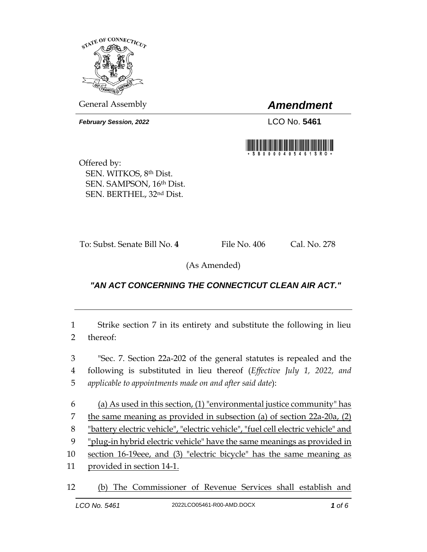

General Assembly *Amendment*

*February Session, 2022* LCO No. **5461**



Offered by: SEN. WITKOS, 8th Dist. SEN. SAMPSON, 16th Dist. SEN. BERTHEL, 32nd Dist.

To: Subst. Senate Bill No. 4 File No. 406 Cal. No. 278

(As Amended)

## *"AN ACT CONCERNING THE CONNECTICUT CLEAN AIR ACT."*

1 Strike section 7 in its entirety and substitute the following in lieu 2 thereof:

3 "Sec. 7. Section 22a-202 of the general statutes is repealed and the 4 following is substituted in lieu thereof (*Effective July 1, 2022, and*  5 *applicable to appointments made on and after said date*):

6 (a) As used in this section, (1) "environmental justice community" has the same meaning as provided in subsection (a) of section 22a-20a, (2) "battery electric vehicle", "electric vehicle", "fuel cell electric vehicle" and "plug-in hybrid electric vehicle" have the same meanings as provided in section 16-19eee, and (3) "electric bicycle" has the same meaning as

11 provided in section 14-1.

12 (b) The Commissioner of Revenue Services shall establish and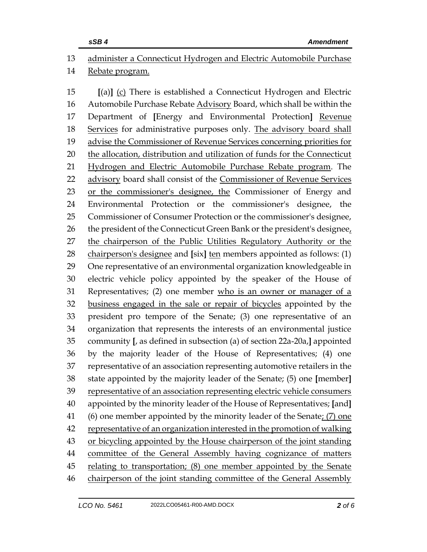## administer a Connecticut Hydrogen and Electric Automobile Purchase Rebate program. **[**(a)**]** (c) There is established a Connecticut Hydrogen and Electric Automobile Purchase Rebate Advisory Board, which shall be within the Department of **[**Energy and Environmental Protection**]** Revenue 18 Services for administrative purposes only. The advisory board shall advise the Commissioner of Revenue Services concerning priorities for the allocation, distribution and utilization of funds for the Connecticut Hydrogen and Electric Automobile Purchase Rebate program. The advisory board shall consist of the Commissioner of Revenue Services or the commissioner's designee, the Commissioner of Energy and Environmental Protection or the commissioner's designee, the Commissioner of Consumer Protection or the commissioner's designee, 26 the president of the Connecticut Green Bank or the president's designee, the chairperson of the Public Utilities Regulatory Authority or the chairperson's designee and **[**six**]** ten members appointed as follows: (1) One representative of an environmental organization knowledgeable in electric vehicle policy appointed by the speaker of the House of Representatives; (2) one member who is an owner or manager of a business engaged in the sale or repair of bicycles appointed by the president pro tempore of the Senate; (3) one representative of an organization that represents the interests of an environmental justice community **[**, as defined in subsection (a) of section 22a-20a,**]** appointed by the majority leader of the House of Representatives; (4) one representative of an association representing automotive retailers in the state appointed by the majority leader of the Senate; (5) one **[**member**]** representative of an association representing electric vehicle consumers appointed by the minority leader of the House of Representatives; **[**and**]** 41 (6) one member appointed by the minority leader of the Senate:  $(7)$  one representative of an organization interested in the promotion of walking or bicycling appointed by the House chairperson of the joint standing committee of the General Assembly having cognizance of matters relating to transportation; (8) one member appointed by the Senate 46 chairperson of the joint standing committee of the General Assembly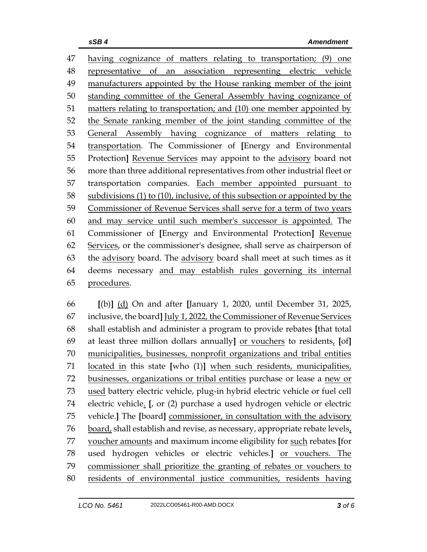having cognizance of matters relating to transportation; (9) one representative of an association representing electric vehicle manufacturers appointed by the House ranking member of the joint standing committee of the General Assembly having cognizance of matters relating to transportation; and (10) one member appointed by the Senate ranking member of the joint standing committee of the General Assembly having cognizance of matters relating to transportation. The Commissioner of **[**Energy and Environmental Protection**]** Revenue Services may appoint to the advisory board not more than three additional representatives from other industrial fleet or transportation companies. Each member appointed pursuant to subdivisions (1) to (10), inclusive, of this subsection or appointed by the Commissioner of Revenue Services shall serve for a term of two years and may service until such member's successor is appointed. The Commissioner of **[**Energy and Environmental Protection**]** Revenue Services, or the commissioner's designee, shall serve as chairperson of the advisory board. The advisory board shall meet at such times as it deems necessary and may establish rules governing its internal procedures.

 **[**(b)**]** (d) On and after **[**January 1, 2020, until December 31, 2025, inclusive, the board**]** July 1, 2022, the Commissioner of Revenue Services shall establish and administer a program to provide rebates **[**that total at least three million dollars annually**]** or vouchers to residents, **[**of**]** municipalities, businesses, nonprofit organizations and tribal entities located in this state **[**who (1)**]** when such residents, municipalities, businesses, organizations or tribal entities purchase or lease a new or used battery electric vehicle, plug-in hybrid electric vehicle or fuel cell electric vehicle. **[**, or (2) purchase a used hydrogen vehicle or electric vehicle.**]** The **[**board**]** commissioner, in consultation with the advisory 76 board, shall establish and revise, as necessary, appropriate rebate levels, voucher amounts and maximum income eligibility for such rebates **[**for used hydrogen vehicles or electric vehicles.**]** or vouchers. The commissioner shall prioritize the granting of rebates or vouchers to residents of environmental justice communities, residents having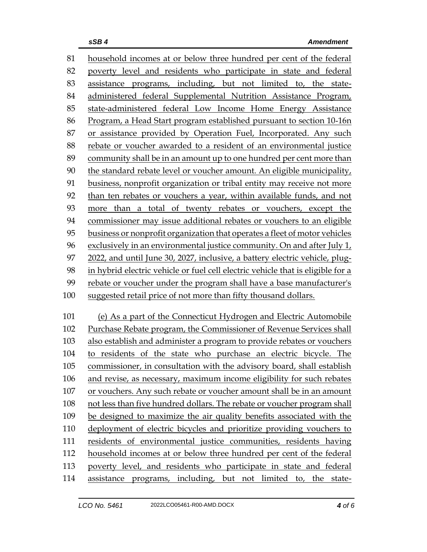household incomes at or below three hundred per cent of the federal poverty level and residents who participate in state and federal assistance programs, including, but not limited to, the state- administered federal Supplemental Nutrition Assistance Program, state-administered federal Low Income Home Energy Assistance Program, a Head Start program established pursuant to section 10-16n or assistance provided by Operation Fuel, Incorporated. Any such rebate or voucher awarded to a resident of an environmental justice community shall be in an amount up to one hundred per cent more than the standard rebate level or voucher amount. An eligible municipality, business, nonprofit organization or tribal entity may receive not more than ten rebates or vouchers a year, within available funds, and not more than a total of twenty rebates or vouchers, except the commissioner may issue additional rebates or vouchers to an eligible business or nonprofit organization that operates a fleet of motor vehicles exclusively in an environmental justice community. On and after July 1, 2022, and until June 30, 2027, inclusive, a battery electric vehicle, plug- in hybrid electric vehicle or fuel cell electric vehicle that is eligible for a rebate or voucher under the program shall have a base manufacturer's suggested retail price of not more than fifty thousand dollars. (e) As a part of the Connecticut Hydrogen and Electric Automobile Purchase Rebate program, the Commissioner of Revenue Services shall also establish and administer a program to provide rebates or vouchers to residents of the state who purchase an electric bicycle. The commissioner, in consultation with the advisory board, shall establish and revise, as necessary, maximum income eligibility for such rebates or vouchers. Any such rebate or voucher amount shall be in an amount not less than five hundred dollars. The rebate or voucher program shall

 be designed to maximize the air quality benefits associated with the deployment of electric bicycles and prioritize providing vouchers to residents of environmental justice communities, residents having household incomes at or below three hundred per cent of the federal

 poverty level, and residents who participate in state and federal assistance programs, including, but not limited to, the state-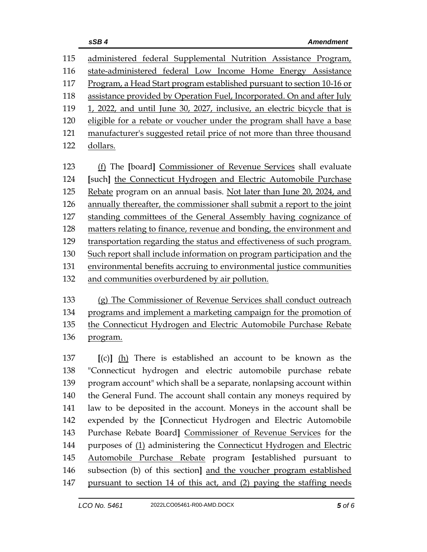| 115 | administered federal Supplemental Nutrition Assistance Program,          |  |  |
|-----|--------------------------------------------------------------------------|--|--|
| 116 | state-administered federal Low Income Home Energy Assistance             |  |  |
| 117 | Program, a Head Start program established pursuant to section 10-16 or   |  |  |
| 118 | assistance provided by Operation Fuel, Incorporated. On and after July   |  |  |
| 119 | 1, 2022, and until June 30, 2027, inclusive, an electric bicycle that is |  |  |
| 120 | eligible for a rebate or voucher under the program shall have a base     |  |  |
| 121 | manufacturer's suggested retail price of not more than three thousand    |  |  |
| 122 | dollars.                                                                 |  |  |
|     |                                                                          |  |  |
| 123 | (f) The [board] Commissioner of Revenue Services shall evaluate          |  |  |
| 124 | [such] the Connecticut Hydrogen and Electric Automobile Purchase         |  |  |
| 125 | Rebate program on an annual basis. Not later than June 20, 2024, and     |  |  |
| 126 | annually thereafter, the commissioner shall submit a report to the joint |  |  |
| 127 | standing committees of the General Assembly having cognizance of         |  |  |
| 128 | matters relating to finance, revenue and bonding, the environment and    |  |  |
| 129 | transportation regarding the status and effectiveness of such program.   |  |  |
| 130 | Such report shall include information on program participation and the   |  |  |
| 131 | environmental benefits accruing to environmental justice communities     |  |  |
| 132 | and communities overburdened by air pollution.                           |  |  |
|     |                                                                          |  |  |
| 133 | (g) The Commissioner of Revenue Services shall conduct outreach          |  |  |

133 (g) The Commissioner of Revenue Services shall conduct outreach programs and implement a marketing campaign for the promotion of 135 the Connecticut Hydrogen and Electric Automobile Purchase Rebate program.

 **[**(c)**]** (h) There is established an account to be known as the "Connecticut hydrogen and electric automobile purchase rebate program account" which shall be a separate, nonlapsing account within the General Fund. The account shall contain any moneys required by law to be deposited in the account. Moneys in the account shall be expended by the **[**Connecticut Hydrogen and Electric Automobile Purchase Rebate Board**]** Commissioner of Revenue Services for the 144 purposes of (1) administering the Connecticut Hydrogen and Electric Automobile Purchase Rebate program **[**established pursuant to subsection (b) of this section**]** and the voucher program established pursuant to section 14 of this act, and (2) paying the staffing needs